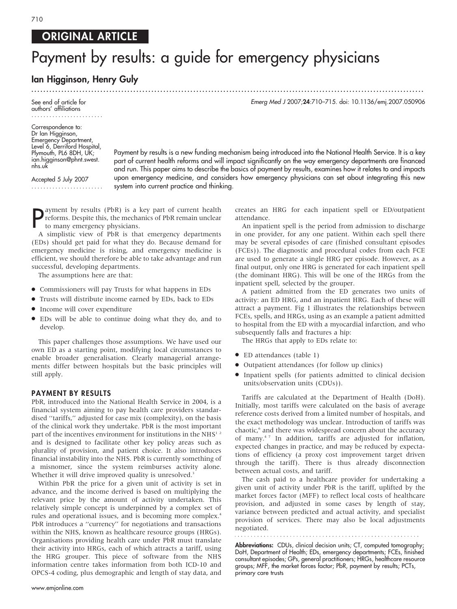ORIGINAL ARTICLE

# Payment by results: a guide for emergency physicians

## Ian Higginson, Henry Guly

See end of article for authors' affiliations ........................

Correspondence to: Dr Ian Higginson, Emergency Department, Level 6, Derriford Hospital, Plymouth, PL6 8DH, UK; ian.higginson@phnt.swest. nhs.uk

Payment by results is a new funding mechanism being introduced into the National Health Service. It is a key part of current health reforms and will impact significantly on the way emergency departments are financed and run. This paper aims to describe the basics of payment by results, examines how it relates to and impacts upon emergency medicine, and considers how emergency physicians can set about integrating this new system into current practice and thinking.

Accepted 5 July 2007 ........................

P ayment by results (PbR) is a key part of current health reforms. Despite this, the mechanics of PbR remain unclear to many emergency physicians.

A simplistic view of PbR is that emergency departments (EDs) should get paid for what they do. Because demand for emergency medicine is rising, and emergency medicine is efficient, we should therefore be able to take advantage and run successful, developing departments.

The assumptions here are that:

- Commissioners will pay Trusts for what happens in EDs
- N Trusts will distribute income earned by EDs, back to EDs
- Income will cover expenditure
- N EDs will be able to continue doing what they do, and to develop.

This paper challenges those assumptions. We have used our own ED as a starting point, modifying local circumstances to enable broader generalisation. Clearly managerial arrangements differ between hospitals but the basic principles will still apply.

## PAYMENT BY RESULTS

PbR, introduced into the National Health Service in 2004, is a financial system aiming to pay health care providers standardised ''tariffs,'' adjusted for case mix (complexity), on the basis of the clinical work they undertake. PbR is the most important part of the incentives environment for institutions in the NHS<sup>1</sup><sup>2</sup> and is designed to facilitate other key policy areas such as plurality of provision, and patient choice. It also introduces financial instability into the NHS. PbR is currently something of a misnomer, since the system reimburses activity alone. Whether it will drive improved quality is unresolved.<sup>3</sup>

Within PbR the price for a given unit of activity is set in advance, and the income derived is based on multiplying the relevant price by the amount of activity undertaken. This relatively simple concept is underpinned by a complex set of rules and operational issues, and is becoming more complex.<sup>4</sup> PbR introduces a ''currency'' for negotiations and transactions within the NHS, known as healthcare resource groups (HRGs). Organisations providing health care under PbR must translate their activity into HRGs, each of which attracts a tariff, using the HRG grouper. This piece of software from the NHS information centre takes information from both ICD-10 and OPCS-4 coding, plus demographic and length of stay data, and creates an HRG for each inpatient spell or ED/outpatient attendance.

............................................................... ............................................................... .....

Emerg Med J 2007;24:710–715. doi: 10.1136/emj.2007.050906

An inpatient spell is the period from admission to discharge in one provider, for any one patient. Within each spell there may be several episodes of care (finished consultant episodes (FCEs)). The diagnostic and procedural codes from each FCE are used to generate a single HRG per episode. However, as a final output, only one HRG is generated for each inpatient spell (the dominant HRG). This will be one of the HRGs from the inpatient spell, selected by the grouper.

A patient admitted from the ED generates two units of activity: an ED HRG, and an inpatient HRG. Each of these will attract a payment. Fig 1 illustrates the relationships between FCEs, spells, and HRGs, using as an example a patient admitted to hospital from the ED with a myocardial infarction, and who subsequently falls and fractures a hip:

The HRGs that apply to EDs relate to:

- ED attendances (table 1)
- Outpatient attendances (for follow up clinics)
- N Inpatient spells (for patients admitted to clinical decision units/observation units (CDUs)).

Tariffs are calculated at the Department of Health (DoH). Initially, most tariffs were calculated on the basis of average reference costs derived from a limited number of hospitals, and the exact methodology was unclear. Introduction of tariffs was chaotic,<sup>6</sup> and there was widespread concern about the accuracy of many.4 7 In addition, tariffs are adjusted for inflation, expected changes in practice, and may be reduced by expectations of efficiency (a proxy cost improvement target driven through the tariff). There is thus already disconnection between actual costs, and tariff.

The cash paid to a healthcare provider for undertaking a given unit of activity under PbR is the tariff, uplifted by the market forces factor (MFF) to reflect local costs of healthcare provision, and adjusted in some cases by length of stay, variance between predicted and actual activity, and specialist provision of services. There may also be local adjustments negotiated.

Abbreviations: CDUs, clinical decision units; CT, computed tomography; DoH, Department of Health; EDs, emergency departments; FCEs, finished consultant episodes; GPs, general practitioners; HRGs, healthcare resource groups; MFF, the market forces factor; PbR, payment by results; PCTs, primary care trusts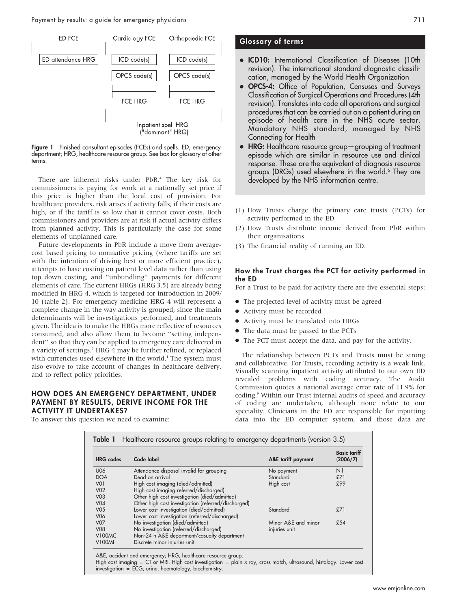

Figure 1 Finished consultant episodes (FCEs) and spells. ED, emergency department; HRG, healthcare resource group. See box for glossary of other terms.

There are inherent risks under PbR.<sup>4</sup> The key risk for commissioners is paying for work at a nationally set price if this price is higher than the local cost of provision. For healthcare providers, risk arises if activity falls, if their costs are high, or if the tariff is so low that it cannot cover costs. Both commissioners and providers are at risk if actual activity differs from planned activity. This is particularly the case for some elements of unplanned care.

Future developments in PbR include a move from averagecost based pricing to normative pricing (where tariffs are set with the intention of driving best or more efficient practice), attempts to base costing on patient level data rather than using top down costing, and ''unbundling'' payments for different elements of care. The current HRGs (HRG 3.5) are already being modified in HRG 4, which is targeted for introduction in 2009/ 10 (table 2). For emergency medicine HRG 4 will represent a complete change in the way activity is grouped, since the main determinants will be investigations performed, and treatments given. The idea is to make the HRGs more reflective of resources consumed, and also allow them to become ''setting independent'' so that they can be applied to emergency care delivered in a variety of settings.<sup>5</sup> HRG 4 may be further refined, or replaced with currencies used elsewhere in the world.<sup>1</sup> The system must also evolve to take account of changes in healthcare delivery, and to reflect policy priorities.

## HOW DOES AN EMERGENCY DEPARTMENT, UNDER PAYMENT BY RESULTS, DERIVE INCOME FOR THE ACTIVITY IT UNDERTAKES?

To answer this question we need to examine:

## Glossary of terms

- ICD10: International Classification of Diseases (10th revision). The international standard diagnostic classification, managed by the World Health Organization
- OPCS-4: Office of Population, Censuses and Surveys Classification of Surgical Operations and Procedures (4th revision). Translates into code all operations and surgical procedures that can be carried out on a patient during an episode of health care in the NHS acute sector. Mandatory NHS standard, managed by NHS Connecting for Health
- HRG: Healthcare resource group-grouping of treatment episode which are similar in resource use and clinical response. These are the equivalent of diagnosis resource groups (DRGs) used elsewhere in the world.<sup>5</sup> They are developed by the NHS information centre.
- (1) How Trusts charge the primary care trusts (PCTs) for activity performed in the ED
- (2) How Trusts distribute income derived from PbR within their organisations
- (3) The financial reality of running an ED.

## How the Trust charges the PCT for activity performed in the ED

For a Trust to be paid for activity there are five essential steps:

- The projected level of activity must be agreed
- Activity must be recorded
- Activity must be translated into HRGs
- The data must be passed to the PCTs
- The PCT must accept the data, and pay for the activity.

The relationship between PCTs and Trusts must be strong and collaborative. For Trusts, recording activity is a weak link. Visually scanning inpatient activity attributed to our own ED revealed problems with coding accuracy. The Audit Commission quotes a national average error rate of 11.9% for coding.<sup>9</sup> Within our Trust internal audits of speed and accuracy of coding are undertaken, although none relate to our speciality. Clinicians in the ED are responsible for inputting data into the ED computer system, and those data are

| <b>HRG</b> codes | Code label                                          | A&E tariff payment  | <b>Basic tariff</b><br>(2006/7) |
|------------------|-----------------------------------------------------|---------------------|---------------------------------|
| U06              | Attendance disposal invalid for grouping            | No payment          | Nil                             |
| <b>DOA</b>       | Dead on arrival                                     | Standard            | £71                             |
| V01              | High cost imaging (died/admitted)                   | High cost           | £99                             |
| V02              | High cost imaging referred/discharged)              |                     |                                 |
| V <sub>03</sub>  | Other high cost investigation (died/admitted)       |                     |                                 |
| V <sub>04</sub>  | Other high cost investigation (referred/discharged) |                     |                                 |
| V <sub>05</sub>  | Lower cost investigation (died/admitted)            | Standard            | £71                             |
| V <sub>06</sub>  | Lower cost investigation (referred/discharged)      |                     |                                 |
| V <sub>0</sub> 7 | No investigation (died/admitted)                    | Minor A&E and minor | £54                             |
| <b>V08</b>       | No investigation (referred/discharged)              | injuries unit       |                                 |
| <b>V100MC</b>    | Non-24 h A&E department/casualty department         |                     |                                 |
| <b>V100MI</b>    | Discrete minor injuries unit                        |                     |                                 |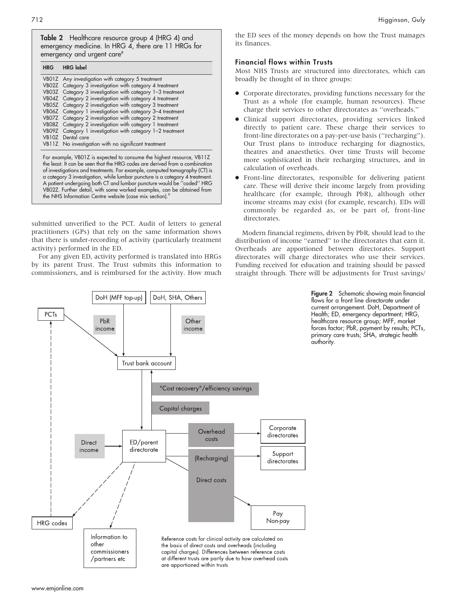Table 2 Healthcare resource group 4 (HRG 4) and emergency medicine. In HRG 4, there are 11 HRGs for emergency and urgent care<sup>8</sup>

| <b>HRG</b> | <b>HRG</b> label                                           |  |
|------------|------------------------------------------------------------|--|
|            | VB01Z Any investigation with category 5 treatment          |  |
|            | VB02Z Category 3 investigation with category 4 treatment   |  |
|            | VB03Z Category 3 investigation with category 1-3 treatment |  |
|            | VB04Z Category 2 investigation with category 4 treatment   |  |
|            | VB05Z Category 2 investigation with category 3 treatment   |  |
|            | VB06Z Category 1 investigation with category 3-4 treatment |  |
|            | VB07Z Category 2 investigation with category 2 treatment   |  |
|            | VB08Z Category 2 investigation with category 1 treatment   |  |
|            | VB09Z Category 1 investigation with category 1-2 treatment |  |
|            | VB107 Dental care                                          |  |
|            | VB11Z No investigation with no significant treatment       |  |
|            |                                                            |  |

For example, VB01Z is expected to consume the highest resource, VB11Z the least. It can be seen that the HRG codes are derived from a combination of investigations and treatments. For example, computed tomography (CT) is a category 3 investigation, while lumbar puncture is a category 4 treatment. A patient undergoing both CT and lumbar puncture would be ''coded'' HRG VB02Z. Further detail, with some worked examples, can be obtained from the NHS Information Centre website (case mix section).<sup>8</sup>

submitted unverified to the PCT. Audit of letters to general practitioners (GPs) that rely on the same information shows that there is under-recording of activity (particularly treatment activity) performed in the ED.

For any given ED, activity performed is translated into HRGs by its parent Trust. The Trust submits this information to commissioners, and is reimbursed for the activity. How much

the ED sees of the money depends on how the Trust manages its finances.

## Financial flows within Trusts

Most NHS Trusts are structured into directorates, which can broadly be thought of in three groups:

- $\bullet$  Corporate directorates, providing functions necessary for the Trust as a whole (for example, human resources). These charge their services to other directorates as ''overheads.''
- Clinical support directorates, providing services linked directly to patient care. These charge their services to front-line directorates on a pay-per-use basis (''recharging''). Our Trust plans to introduce recharging for diagnostics, theatres and anaesthetics. Over time Trusts will become more sophisticated in their recharging structures, and in calculation of overheads.
- Front-line directorates, responsible for delivering patient care. These will derive their income largely from providing healthcare (for example, through PbR), although other income streams may exist (for example, research). EDs will commonly be regarded as, or be part of, front-line directorates.

Modern financial regimens, driven by PbR, should lead to the distribution of income ''earned'' to the directorates that earn it. Overheads are apportioned between directorates. Support directorates will charge directorates who use their services. Funding received for education and training should be passed straight through. There will be adjustments for Trust savings/

> Figure 2 Schematic showing main financial flows for a front line directorate under current arrangement. DoH, Department of Health; ED, emergency department; HRG, healthcare resource group; MFF, market forces factor; PbR, payment by results; PCTs, primary care trusts; SHA, strategic health authority.

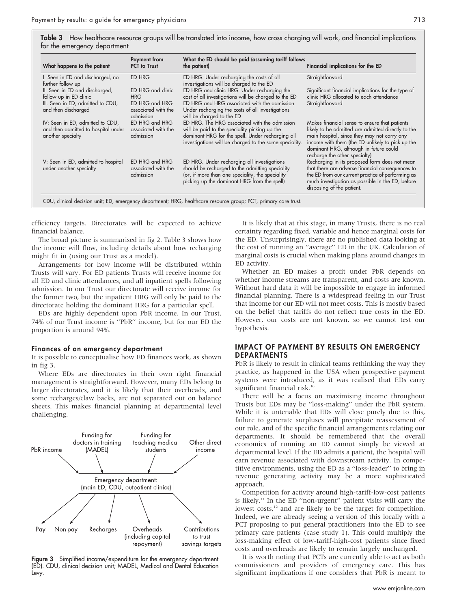Table 3 How healthcare resource groups will be translated into income, how cross charging will work, and financial implications for the emergency department

| What happens to the patient                                                                                     | Payment from<br><b>PCT</b> to Trust                | What the ED should be paid (assuming tariff follows<br>the patient)                                                                                                                                          | Financial implications for the ED                                                                                                                                                                                                                                                 |  |  |  |
|-----------------------------------------------------------------------------------------------------------------|----------------------------------------------------|--------------------------------------------------------------------------------------------------------------------------------------------------------------------------------------------------------------|-----------------------------------------------------------------------------------------------------------------------------------------------------------------------------------------------------------------------------------------------------------------------------------|--|--|--|
| I. Seen in ED and discharged, no<br>further follow up                                                           | <b>ED HRG</b>                                      | ED HRG. Under recharging the costs of all<br>investigations will be charged to the ED                                                                                                                        | Straightforward                                                                                                                                                                                                                                                                   |  |  |  |
| II. Seen in ED and discharged,<br>follow up in ED clinic                                                        | ED HRG and clinic<br><b>HRG</b>                    | ED HRG and clinic HRG. Under recharging the<br>cost of all investigations will be charged to the ED                                                                                                          | Significant financial implications for the type of<br>clinic HRG allocated to each attendance                                                                                                                                                                                     |  |  |  |
| III. Seen in ED, admitted to CDU,<br>and then discharged                                                        | ED HRG and HRG<br>associated with the<br>admission | ED HRG and HRG associated with the admission.<br>Under recharging the costs of all investigations<br>will be charged to the ED                                                                               | Straightforward                                                                                                                                                                                                                                                                   |  |  |  |
| IV: Seen in ED, admitted to CDU,<br>and then admitted to hospital under<br>another specialty                    | ED HRG and HRG<br>associated with the<br>admission | ED HRG. The HRG associated with the admission<br>will be paid to the speciality picking up the<br>dominant HRG for the spell. Under recharging all<br>investigations will be charged to the same speciality. | Makes financial sense to ensure that patients<br>likely to be admitted are admitted directly to the<br>main hospital, since they may not carry any<br>income with them (the ED unlikely to pick up the<br>dominant HRG, although in future could<br>recharge the other specialty) |  |  |  |
| V: Seen in ED, admitted to hospital<br>under another specialty                                                  | ED HRG and HRG<br>associated with the<br>admission | ED HRG. Under recharging all investigations<br>should be recharged to the admitting speciality<br>(or, if more than one speciality, the speciality<br>picking up the dominant HRG from the spell)            | Recharging in its proposed form does not mean<br>that there are adverse financial consequences to<br>the ED from our current practice of performing as<br>much investigation as possible in the ED, before<br>disposing of the patient.                                           |  |  |  |
| CDU, clinical decision unit; ED, emergency department; HRG, healthcare resource group; PCT, primary care trust. |                                                    |                                                                                                                                                                                                              |                                                                                                                                                                                                                                                                                   |  |  |  |

efficiency targets. Directorates will be expected to achieve financial balance.

The broad picture is summarised in fig 2. Table 3 shows how the income will flow, including details about how recharging might fit in (using our Trust as a model).

Arrangements for how income will be distributed within Trusts will vary. For ED patients Trusts will receive income for all ED and clinic attendances, and all inpatient spells following admission. In our Trust our directorate will receive income for the former two, but the inpatient HRG will only be paid to the directorate holding the dominant HRG for a particular spell.

EDs are highly dependent upon PbR income. In our Trust, 74% of our Trust income is ''PbR'' income, but for our ED the proportion is around 94%.

#### Finances of an emergency department

It is possible to conceptualise how ED finances work, as shown in fig 3.

Where EDs are directorates in their own right financial management is straightforward. However, many EDs belong to larger directorates, and it is likely that their overheads, and some recharges/claw backs, are not separated out on balance sheets. This makes financial planning at departmental level challenging.



Figure 3 Simplified income/expenditure for the emergency department (ED). CDU, clinical decision unit; MADEL, Medical and Dental Education Levy.

It is likely that at this stage, in many Trusts, there is no real certainty regarding fixed, variable and hence marginal costs for the ED. Unsurprisingly, there are no published data looking at the cost of running an ''average'' ED in the UK. Calculation of marginal costs is crucial when making plans around changes in ED activity.

Whether an ED makes a profit under PbR depends on whether income streams are transparent, and costs are known. Without hard data it will be impossible to engage in informed financial planning. There is a widespread feeling in our Trust that income for our ED will not meet costs. This is mostly based on the belief that tariffs do not reflect true costs in the ED. However, our costs are not known, so we cannot test our hypothesis.

## IMPACT OF PAYMENT BY RESULTS ON EMERGENCY DEPARTMENTS

PbR is likely to result in clinical teams rethinking the way they practice, as happened in the USA when prospective payment systems were introduced, as it was realised that EDs carry significant financial risk.<sup>10</sup>

There will be a focus on maximising income throughout Trusts but EDs may be ''loss-making'' under the PbR system. While it is untenable that EDs will close purely due to this, failure to generate surpluses will precipitate reassessment of our role, and of the specific financial arrangements relating our departments. It should be remembered that the overall economics of running an ED cannot simply be viewed at departmental level. If the ED admits a patient, the hospital will earn revenue associated with downstream activity. In competitive environments, using the ED as a ''loss-leader'' to bring in revenue generating activity may be a more sophisticated approach.

Competition for activity around high-tariff-low-cost patients is likely.11 In the ED ''non-urgent'' patient visits will carry the lowest costs,<sup>12</sup> and are likely to be the target for competition. Indeed, we are already seeing a version of this locally with a PCT proposing to put general practitioners into the ED to see primary care patients (case study 1). This could multiply the loss-making effect of low-tariff-high-cost patients since fixed costs and overheads are likely to remain largely unchanged.

It is worth noting that PCTs are currently able to act as both commissioners and providers of emergency care. This has significant implications if one considers that PbR is meant to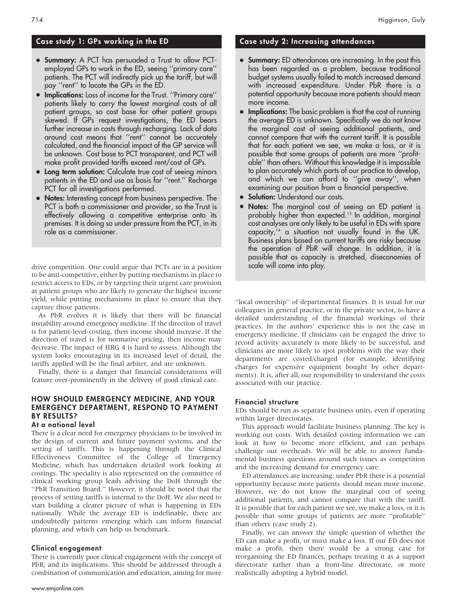## Case study 1: GPs working in the ED

- Summary: A PCT has persuaded a Trust to allow PCTemployed GPs to work in the ED, seeing ''primary care'' patients. The PCT will indirectly pick up the tariff, but will pay ''rent'' to locate the GPs in the ED.
- Implications: Loss of income for the Trust. "Primary care" patients likely to carry the lowest marginal costs of all patient groups, so cost base for other patient groups skewed. If GPs request investigations, the ED bears further increase in costs through recharging. Lack of data around cost means that ''rent'' cannot be accurately calculated, and the financial impact of the GP service will be unknown. Cost base to PCT transparent, and PCT will make profit provided tariffs exceed rent/cost of GPs.
- Long term solution: Calculate true cost of seeing minors patients in the ED and use as basis for ''rent.'' Recharge PCT for all investigations performed.
- Notes: Interesting concept from business perspective. The PCT is both a commissioner and provider, so the Trust is effectively allowing a competitive enterprise onto its premises. It is doing so under pressure from the PCT, in its role as a commissioner.

drive competition. One could argue that PCTs are in a position to be anti-competitive, either by putting mechanisms in place to restrict access to EDs, or by targeting their urgent care provision at patient groups who are likely to generate the highest income yield, while putting mechanisms in place to ensure that they capture those patients.

As PbR evolves it is likely that there will be financial instability around emergency medicine. If the direction of travel is for patient-level-costing, then income should increase. If the direction of travel is for normative pricing, then income may decrease. The impact of HRG 4 is hard to assess. Although the system looks encouraging in its increased level of detail, the tariffs applied will be the final arbiter, and are unknown.

Finally, there is a danger that financial considerations will feature over-prominently in the delivery of good clinical care.

## HOW SHOULD EMERGENCY MEDICINE, AND YOUR EMERGENCY DEPARTMENT, RESPOND TO PAYMENT BY RESULTS?

## At a national level

There is a clear need for emergency physicians to be involved in the design of current and future payment systems, and the setting of tariffs. This is happening through the Clinical Effectiveness Committee of the College of Emergency Medicine, which has undertaken detailed work looking at costings. The speciality is also represented on the committee of clinical working group leads advising the DoH through the ''PbR Transition Board.'' However, it should be noted that the process of setting tariffs is internal to the DoH. We also need to start building a clearer picture of what is happening in EDs nationally. While the average ED is indefinable, there are undoubtedly patterns emerging which can inform financial planning, and which can help us benchmark.

#### Clinical engagement

There is currently poor clinical engagement with the concept of PbR, and its implications. This should be addressed through a combination of communication and education, aiming for more

- Summary: ED attendances are increasing. In the past this has been regarded as a problem, because traditional budget systems usually failed to match increased demand with increased expenditure. Under PbR there is a potential opportunity because more patients should mean more income.
- Implications: The basic problem is that the cost of running the average ED is unknown. Specifically we do not know the marginal cost of seeing additional patients, and cannot compare that with the current tariff. It is possible that for each patient we see, we make a loss, or it is possible that some groups of patients are more ''profitable'' than others. Without this knowledge it is impossible to plan accurately which parts of our practice to develop, and which we can afford to ''give away'', when examining our position from a financial perspective.
- Solution: Understand our costs.
- **Solution:** Onderstand our costs.<br>● **Notes:** The marginal cost of seeing an ED patient is probably higher than expected.13 In addition, marginal cost analyses are only likely to be useful in EDs with spare capacity,<sup>14</sup> a situation not usually found in the UK. Business plans based on current tariffs are risky because the operation of PbR will change. In addition, it is possible that as capacity is stretched, diseconomies of scale will come into play.

''local ownership'' of departmental finances. It is usual for our colleagues in general practice, or in the private sector, to have a detailed understanding of the financial workings of their practices. In the authors' experience this is not the case in emergency medicine. If clinicians can be engaged the drive to record activity accurately is more likely to be successful, and clinicians are more likely to spot problems with the way their departments are costed/charged (for example, identifying charges for expensive equipment bought by other departments). It is, after all, our responsibility to understand the costs associated with our practice.

#### Financial structure

EDs should be run as separate business units, even if operating within larger directorates.

This approach would facilitate business planning. The key is working out costs. With detailed costing information we can look at how to become more efficient, and can perhaps challenge our overheads. We will be able to answer fundamental business questions around such issues as competition and the increasing demand for emergency care.

ED attendances are increasing: under PbR there is a potential opportunity because more patients should mean more income. However, we do not know the marginal cost of seeing additional patients, and cannot compare that with the tariff. It is possible that for each patient we see, we make a loss, or it is possible that some groups of patients are more ''profitable'' than others (case study 2).

Finally, we can answer the simple question of whether the ED can make a profit, or must make a loss. If our ED does not make a profit, then there would be a strong case for reorganising the ED finances, perhaps treating it as a support directorate rather than a front-line directorate, or more realistically adopting a hybrid model.